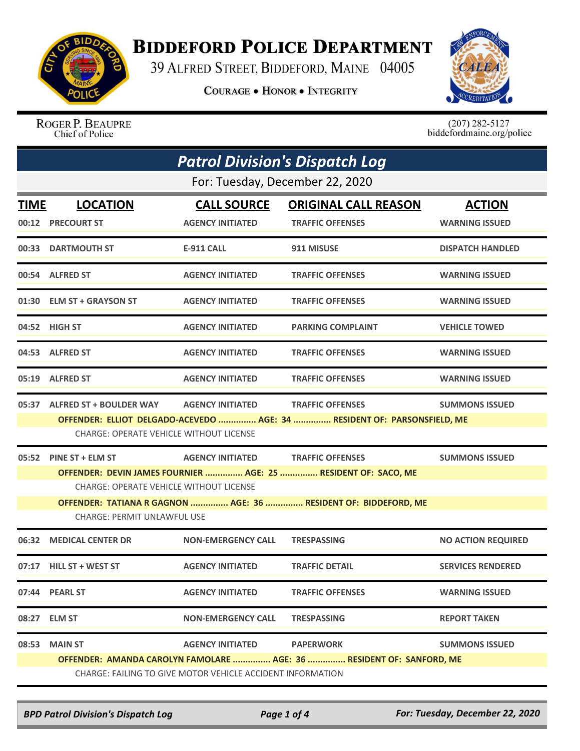

## **BIDDEFORD POLICE DEPARTMENT**

39 ALFRED STREET, BIDDEFORD, MAINE 04005

**COURAGE . HONOR . INTEGRITY** 



ROGER P. BEAUPRE<br>Chief of Police

 $(207)$  282-5127<br>biddefordmaine.org/police

| <b>Patrol Division's Dispatch Log</b> |                                                                                                       |                           |                                                                                                     |                           |  |  |
|---------------------------------------|-------------------------------------------------------------------------------------------------------|---------------------------|-----------------------------------------------------------------------------------------------------|---------------------------|--|--|
|                                       | For: Tuesday, December 22, 2020                                                                       |                           |                                                                                                     |                           |  |  |
| <b>TIME</b>                           | <b>LOCATION</b>                                                                                       | <b>CALL SOURCE</b>        | <b>ORIGINAL CALL REASON</b>                                                                         | <b>ACTION</b>             |  |  |
|                                       | 00:12 PRECOURT ST                                                                                     | <b>AGENCY INITIATED</b>   | <b>TRAFFIC OFFENSES</b>                                                                             | <b>WARNING ISSUED</b>     |  |  |
|                                       | 00:33 DARTMOUTH ST                                                                                    | E-911 CALL                | 911 MISUSE                                                                                          | <b>DISPATCH HANDLED</b>   |  |  |
|                                       | 00:54 ALFRED ST                                                                                       | <b>AGENCY INITIATED</b>   | <b>TRAFFIC OFFENSES</b>                                                                             | <b>WARNING ISSUED</b>     |  |  |
|                                       | 01:30 ELM ST + GRAYSON ST                                                                             | <b>AGENCY INITIATED</b>   | <b>TRAFFIC OFFENSES</b>                                                                             | <b>WARNING ISSUED</b>     |  |  |
|                                       | 04:52 HIGH ST                                                                                         | <b>AGENCY INITIATED</b>   | <b>PARKING COMPLAINT</b>                                                                            | <b>VEHICLE TOWED</b>      |  |  |
|                                       | 04:53 ALFRED ST                                                                                       | <b>AGENCY INITIATED</b>   | <b>TRAFFIC OFFENSES</b>                                                                             | <b>WARNING ISSUED</b>     |  |  |
|                                       | 05:19 ALFRED ST                                                                                       | <b>AGENCY INITIATED</b>   | <b>TRAFFIC OFFENSES</b>                                                                             | <b>WARNING ISSUED</b>     |  |  |
|                                       | 05:37 ALFRED ST + BOULDER WAY<br><b>CHARGE: OPERATE VEHICLE WITHOUT LICENSE</b>                       | <b>AGENCY INITIATED</b>   | <b>TRAFFIC OFFENSES</b><br>OFFENDER: ELLIOT DELGADO-ACEVEDO  AGE: 34  RESIDENT OF: PARSONSFIELD, ME | <b>SUMMONS ISSUED</b>     |  |  |
| 05:52                                 | PINE ST + ELM ST                                                                                      | <b>AGENCY INITIATED</b>   | <b>TRAFFIC OFFENSES</b>                                                                             | <b>SUMMONS ISSUED</b>     |  |  |
|                                       | <b>CHARGE: OPERATE VEHICLE WITHOUT LICENSE</b>                                                        |                           | OFFENDER: DEVIN JAMES FOURNIER  AGE: 25  RESIDENT OF: SACO, ME                                      |                           |  |  |
|                                       | OFFENDER: TATIANA R GAGNON  AGE: 36  RESIDENT OF: BIDDEFORD, ME<br><b>CHARGE: PERMIT UNLAWFUL USE</b> |                           |                                                                                                     |                           |  |  |
|                                       |                                                                                                       |                           |                                                                                                     |                           |  |  |
| 06:32                                 | <b>MEDICAL CENTER DR</b>                                                                              | <b>NON-EMERGENCY CALL</b> | <b>TRESPASSING</b>                                                                                  | <b>NO ACTION REQUIRED</b> |  |  |
|                                       | 07:17 HILL ST + WEST ST                                                                               | <b>AGENCY INITIATED</b>   | <b>TRAFFIC DETAIL</b>                                                                               | <b>SERVICES RENDERED</b>  |  |  |
|                                       | 07:44 PEARL ST                                                                                        | <b>AGENCY INITIATED</b>   | <b>TRAFFIC OFFENSES</b>                                                                             | <b>WARNING ISSUED</b>     |  |  |
| 08:27                                 | <b>ELM ST</b>                                                                                         | <b>NON-EMERGENCY CALL</b> | <b>TRESPASSING</b>                                                                                  | <b>REPORT TAKEN</b>       |  |  |
| 08:53                                 | <b>MAIN ST</b>                                                                                        | <b>AGENCY INITIATED</b>   | <b>PAPERWORK</b>                                                                                    | <b>SUMMONS ISSUED</b>     |  |  |
|                                       | OFFENDER: AMANDA CAROLYN FAMOLARE  AGE: 36  RESIDENT OF: SANFORD, ME                                  |                           |                                                                                                     |                           |  |  |
|                                       | CHARGE: FAILING TO GIVE MOTOR VEHICLE ACCIDENT INFORMATION                                            |                           |                                                                                                     |                           |  |  |

*BPD Patrol Division's Dispatch Log Page 1 of 4 For: Tuesday, December 22, 2020*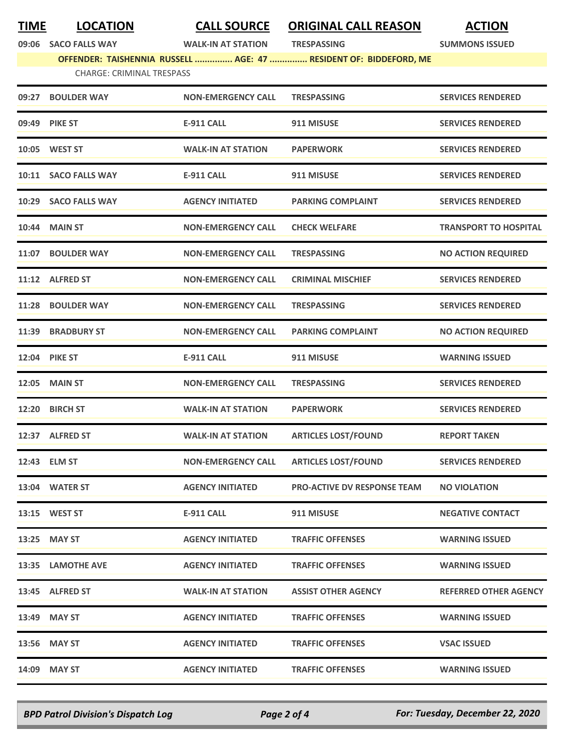**TIME LOCATION CALL SOURCE ORIGINAL CALL REASON ACTION**

**09:06 SACO FALLS WAY WALK-IN AT STATION TRESPASSING SUMMONS ISSUED**

**OFFENDER: TAISHENNIA RUSSELL ............... AGE: 47 ............... RESIDENT OF: BIDDEFORD, ME**

| 09:27 | <b>BOULDER WAY</b>   | <b>NON-EMERGENCY CALL</b> | <b>TRESPASSING</b>                 | <b>SERVICES RENDERED</b>     |
|-------|----------------------|---------------------------|------------------------------------|------------------------------|
|       | 09:49 PIKE ST        | <b>E-911 CALL</b>         | 911 MISUSE                         | <b>SERVICES RENDERED</b>     |
|       | 10:05 WEST ST        | <b>WALK-IN AT STATION</b> | <b>PAPERWORK</b>                   | <b>SERVICES RENDERED</b>     |
|       | 10:11 SACO FALLS WAY | <b>E-911 CALL</b>         | 911 MISUSE                         | <b>SERVICES RENDERED</b>     |
|       | 10:29 SACO FALLS WAY | <b>AGENCY INITIATED</b>   | <b>PARKING COMPLAINT</b>           | <b>SERVICES RENDERED</b>     |
| 10:44 | <b>MAIN ST</b>       | <b>NON-EMERGENCY CALL</b> | <b>CHECK WELFARE</b>               | <b>TRANSPORT TO HOSPITAL</b> |
| 11:07 | <b>BOULDER WAY</b>   | <b>NON-EMERGENCY CALL</b> | <b>TRESPASSING</b>                 | <b>NO ACTION REQUIRED</b>    |
|       | 11:12 ALFRED ST      | <b>NON-EMERGENCY CALL</b> | <b>CRIMINAL MISCHIEF</b>           | <b>SERVICES RENDERED</b>     |
| 11:28 | <b>BOULDER WAY</b>   | <b>NON-EMERGENCY CALL</b> | <b>TRESPASSING</b>                 | <b>SERVICES RENDERED</b>     |
| 11:39 | <b>BRADBURY ST</b>   | <b>NON-EMERGENCY CALL</b> | <b>PARKING COMPLAINT</b>           | <b>NO ACTION REQUIRED</b>    |
|       | <b>12:04 PIKE ST</b> | E-911 CALL                | 911 MISUSE                         | <b>WARNING ISSUED</b>        |
| 12:05 | <b>MAIN ST</b>       | <b>NON-EMERGENCY CALL</b> | <b>TRESPASSING</b>                 | <b>SERVICES RENDERED</b>     |
| 12:20 | <b>BIRCH ST</b>      | <b>WALK-IN AT STATION</b> | <b>PAPERWORK</b>                   | <b>SERVICES RENDERED</b>     |
|       | 12:37 ALFRED ST      | <b>WALK-IN AT STATION</b> | <b>ARTICLES LOST/FOUND</b>         | <b>REPORT TAKEN</b>          |
| 12:43 | <b>ELM ST</b>        | <b>NON-EMERGENCY CALL</b> | <b>ARTICLES LOST/FOUND</b>         | <b>SERVICES RENDERED</b>     |
|       | 13:04 WATER ST       | <b>AGENCY INITIATED</b>   | <b>PRO-ACTIVE DV RESPONSE TEAM</b> | <b>NO VIOLATION</b>          |
|       | 13:15 WEST ST        | <b>E-911 CALL</b>         | 911 MISUSE                         | <b>NEGATIVE CONTACT</b>      |
|       | 13:25 MAY ST         | <b>AGENCY INITIATED</b>   | <b>TRAFFIC OFFENSES</b>            | <b>WARNING ISSUED</b>        |
|       | 13:35 LAMOTHE AVE    | <b>AGENCY INITIATED</b>   | <b>TRAFFIC OFFENSES</b>            | <b>WARNING ISSUED</b>        |
|       | 13:45 ALFRED ST      | <b>WALK-IN AT STATION</b> | <b>ASSIST OTHER AGENCY</b>         | <b>REFERRED OTHER AGENCY</b> |
|       | 13:49 MAY ST         | <b>AGENCY INITIATED</b>   | <b>TRAFFIC OFFENSES</b>            | <b>WARNING ISSUED</b>        |
|       | 13:56 MAY ST         | <b>AGENCY INITIATED</b>   | <b>TRAFFIC OFFENSES</b>            | <b>VSAC ISSUED</b>           |
|       | 14:09 MAY ST         | <b>AGENCY INITIATED</b>   | <b>TRAFFIC OFFENSES</b>            | <b>WARNING ISSUED</b>        |

*BPD Patrol Division's Dispatch Log Page 2 of 4 For: Tuesday, December 22, 2020*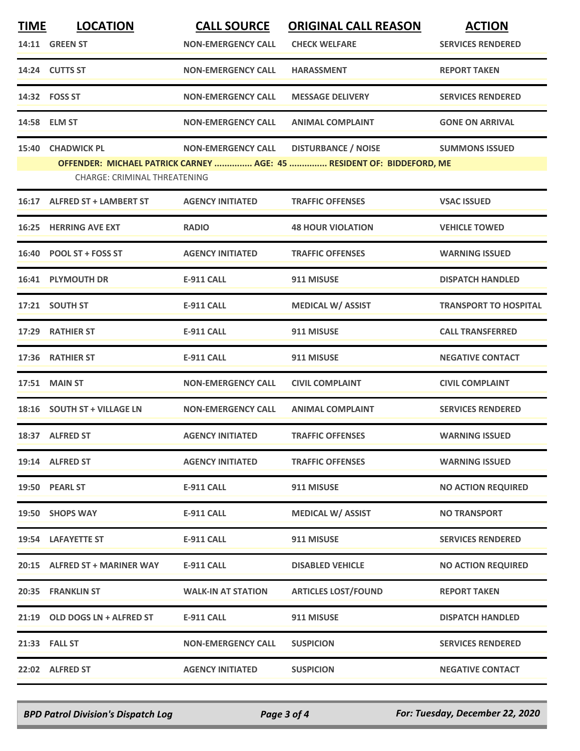| <b>TIME</b> | <b>LOCATION</b>                                   | <b>CALL SOURCE</b>        | <b>ORIGINAL CALL REASON</b>                                                                         | <b>ACTION</b>                |
|-------------|---------------------------------------------------|---------------------------|-----------------------------------------------------------------------------------------------------|------------------------------|
|             | <b>14:11 GREEN ST</b>                             | <b>NON-EMERGENCY CALL</b> | <b>CHECK WELFARE</b>                                                                                | <b>SERVICES RENDERED</b>     |
|             | 14:24 CUTTS ST                                    | <b>NON-EMERGENCY CALL</b> | <b>HARASSMENT</b>                                                                                   | <b>REPORT TAKEN</b>          |
|             | 14:32    FOSS ST                                  | <b>NON-EMERGENCY CALL</b> | <b>MESSAGE DELIVERY</b>                                                                             | <b>SERVICES RENDERED</b>     |
|             | 14:58 ELM ST                                      | <b>NON-EMERGENCY CALL</b> | <b>ANIMAL COMPLAINT</b>                                                                             | <b>GONE ON ARRIVAL</b>       |
|             | 15:40 CHADWICK PL<br>CHARGE: CRIMINAL THREATENING | <b>NON-EMERGENCY CALL</b> | <b>DISTURBANCE / NOISE</b><br>OFFENDER: MICHAEL PATRICK CARNEY  AGE: 45  RESIDENT OF: BIDDEFORD, ME | <b>SUMMONS ISSUED</b>        |
| 16:17       | <b>ALFRED ST + LAMBERT ST</b>                     | <b>AGENCY INITIATED</b>   | <b>TRAFFIC OFFENSES</b>                                                                             | <b>VSAC ISSUED</b>           |
|             | <b>16:25 HERRING AVE EXT</b>                      | <b>RADIO</b>              | <b>48 HOUR VIOLATION</b>                                                                            | <b>VEHICLE TOWED</b>         |
| 16:40       | <b>POOL ST + FOSS ST</b>                          | <b>AGENCY INITIATED</b>   | <b>TRAFFIC OFFENSES</b>                                                                             | <b>WARNING ISSUED</b>        |
|             | 16:41 PLYMOUTH DR                                 | <b>E-911 CALL</b>         | 911 MISUSE                                                                                          | <b>DISPATCH HANDLED</b>      |
|             | 17:21 SOUTH ST                                    | <b>E-911 CALL</b>         | <b>MEDICAL W/ ASSIST</b>                                                                            | <b>TRANSPORT TO HOSPITAL</b> |
|             | 17:29 RATHIER ST                                  | <b>E-911 CALL</b>         | 911 MISUSE                                                                                          | <b>CALL TRANSFERRED</b>      |
|             | 17:36 RATHIER ST                                  | <b>E-911 CALL</b>         | 911 MISUSE                                                                                          | <b>NEGATIVE CONTACT</b>      |
| 17:51       | <b>MAIN ST</b>                                    | <b>NON-EMERGENCY CALL</b> | <b>CIVIL COMPLAINT</b>                                                                              | <b>CIVIL COMPLAINT</b>       |
|             | 18:16 SOUTH ST + VILLAGE LN                       | <b>NON-EMERGENCY CALL</b> | <b>ANIMAL COMPLAINT</b>                                                                             | <b>SERVICES RENDERED</b>     |
|             | 18:37 ALFRED ST                                   | <b>AGENCY INITIATED</b>   | <b>TRAFFIC OFFENSES</b>                                                                             | <b>WARNING ISSUED</b>        |
|             | 19:14 ALFRED ST                                   | <b>AGENCY INITIATED</b>   | <b>TRAFFIC OFFENSES</b>                                                                             | <b>WARNING ISSUED</b>        |
|             | 19:50 PEARL ST                                    | <b>E-911 CALL</b>         | 911 MISUSE                                                                                          | <b>NO ACTION REQUIRED</b>    |
|             | 19:50 SHOPS WAY                                   | <b>E-911 CALL</b>         | <b>MEDICAL W/ ASSIST</b>                                                                            | <b>NO TRANSPORT</b>          |
|             | 19:54 LAFAYETTE ST                                | <b>E-911 CALL</b>         | 911 MISUSE                                                                                          | <b>SERVICES RENDERED</b>     |
|             | 20:15 ALFRED ST + MARINER WAY                     | <b>E-911 CALL</b>         | <b>DISABLED VEHICLE</b>                                                                             | <b>NO ACTION REQUIRED</b>    |
|             | 20:35 FRANKLIN ST                                 | <b>WALK-IN AT STATION</b> | <b>ARTICLES LOST/FOUND</b>                                                                          | <b>REPORT TAKEN</b>          |
|             | 21:19 OLD DOGS LN + ALFRED ST                     | E-911 CALL                | 911 MISUSE                                                                                          | <b>DISPATCH HANDLED</b>      |
|             | 21:33 FALL ST                                     | <b>NON-EMERGENCY CALL</b> | <b>SUSPICION</b>                                                                                    | <b>SERVICES RENDERED</b>     |
|             | 22:02 ALFRED ST                                   | <b>AGENCY INITIATED</b>   | <b>SUSPICION</b>                                                                                    | <b>NEGATIVE CONTACT</b>      |

*BPD Patrol Division's Dispatch Log Page 3 of 4 For: Tuesday, December 22, 2020*